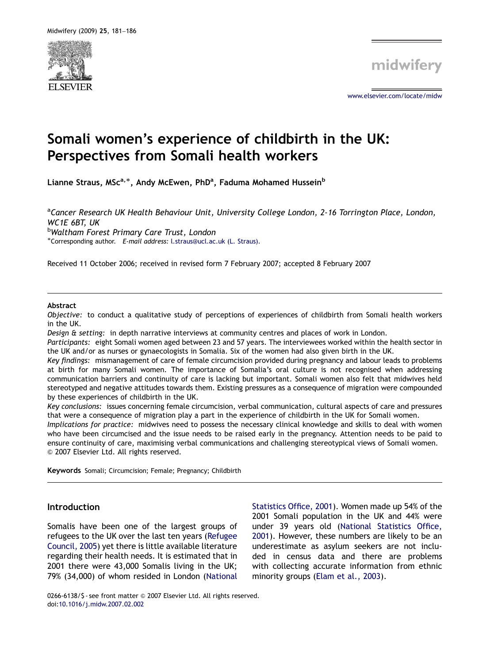

midwifery

<www.elsevier.com/locate/midw>

# Somali women's experience of childbirth in the UK: Perspectives from Somali health workers

Lianne Straus, MSc<sup>a,</sup>\*, Andy McEwen, PhD<sup>a</sup>, Faduma Mohamed Hussein<sup>b</sup>

<sup>a</sup>Cancer Research UK Health Behaviour Unit, University College London, 2-16 Torrington Place, London, WC1E 6BT, UK <sup>b</sup>Waltham Forest Primary Care Trust, London -Corresponding author. E-mail address: [l.straus@ucl.ac.uk \(L. Straus\).](mailto:l.straus@ucl.ac.uk)

Received 11 October 2006; received in revised form 7 February 2007; accepted 8 February 2007

### Abstract

Objective: to conduct a qualitative study of perceptions of experiences of childbirth from Somali health workers in the UK.

Design & setting: in depth narrative interviews at community centres and places of work in London.

Participants: eight Somali women aged between 23 and 57 years. The interviewees worked within the health sector in the UK and/or as nurses or gynaecologists in Somalia. Six of the women had also given birth in the UK.

Key findings: mismanagement of care of female circumcision provided during pregnancy and labour leads to problems at birth for many Somali women. The importance of Somalia's oral culture is not recognised when addressing communication barriers and continuity of care is lacking but important. Somali women also felt that midwives held stereotyped and negative attitudes towards them. Existing pressures as a consequence of migration were compounded by these experiences of childbirth in the UK.

Key conclusions: issues concerning female circumcision, verbal communication, cultural aspects of care and pressures that were a consequence of migration play a part in the experience of childbirth in the UK for Somali women.

Implications for practice: midwives need to possess the necessary clinical knowledge and skills to deal with women who have been circumcised and the issue needs to be raised early in the pregnancy. Attention needs to be paid to ensure continuity of care, maximising verbal communications and challenging stereotypical views of Somali women.  $©$  2007 Elsevier Ltd. All rights reserved.

Keywords Somali; Circumcision; Female; Pregnancy; Childbirth

## Introduction

Somalis have been one of the largest groups of refugees to the UK over the last ten years [\(Refugee](#page-5-0) [Council, 2005](#page-5-0)) yet there is little available literature regarding their health needs. It is estimated that in 2001 there were 43,000 Somalis living in the UK; 79% (34,000) of whom resided in London ([National](#page-5-0)

[Statistics Office, 2001](#page-5-0)). Women made up 54% of the 2001 Somali population in the UK and 44% were under 39 years old [\(National Statistics Office,](#page-5-0) [2001\)](#page-5-0). However, these numbers are likely to be an underestimate as asylum seekers are not included in census data and there are problems with collecting accurate information from ethnic minority groups [\(Elam et al., 2003](#page-5-0)).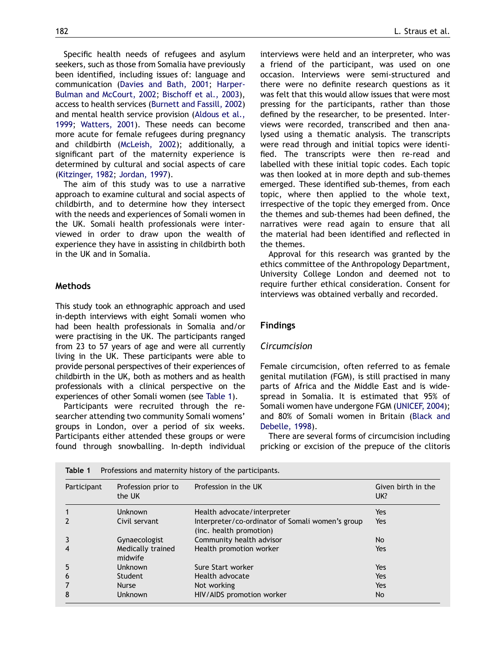Specific health needs of refugees and asylum seekers, such as those from Somalia have previously been identified, including issues of: language and communication ([Davies and Bath, 2001](#page-5-0); [Harper-](#page-5-0)[Bulman and McCourt, 2002](#page-5-0); [Bischoff et al., 2003](#page-5-0)), access to health services [\(Burnett and Fassill, 2002\)](#page-5-0) and mental health service provision [\(Aldous et al.,](#page-5-0) [1999](#page-5-0); [Watters, 2001](#page-5-0)). These needs can become more acute for female refugees during pregnancy and childbirth [\(McLeish, 2002\)](#page-5-0); additionally, a significant part of the maternity experience is determined by cultural and social aspects of care ([Kitzinger, 1982;](#page-5-0) [Jordan, 1997](#page-5-0)).

The aim of this study was to use a narrative approach to examine cultural and social aspects of childbirth, and to determine how they intersect with the needs and experiences of Somali women in the UK. Somali health professionals were interviewed in order to draw upon the wealth of experience they have in assisting in childbirth both in the UK and in Somalia.

## Methods

This study took an ethnographic approach and used in-depth interviews with eight Somali women who had been health professionals in Somalia and/or were practising in the UK. The participants ranged from 23 to 57 years of age and were all currently living in the UK. These participants were able to provide personal perspectives of their experiences of childbirth in the UK, both as mothers and as health professionals with a clinical perspective on the experiences of other Somali women (see Table 1).

Participants were recruited through the researcher attending two community Somali womens' groups in London, over a period of six weeks. Participants either attended these groups or were found through snowballing. In-depth individual interviews were held and an interpreter, who was a friend of the participant, was used on one occasion. Interviews were semi-structured and there were no definite research questions as it was felt that this would allow issues that were most pressing for the participants, rather than those defined by the researcher, to be presented. Interviews were recorded, transcribed and then analysed using a thematic analysis. The transcripts were read through and initial topics were identified. The transcripts were then re-read and labelled with these initial topic codes. Each topic was then looked at in more depth and sub-themes emerged. These identified sub-themes, from each topic, where then applied to the whole text, irrespective of the topic they emerged from. Once the themes and sub-themes had been defined, the narratives were read again to ensure that all the material had been identified and reflected in the themes.

Approval for this research was granted by the ethics committee of the Anthropology Department, University College London and deemed not to require further ethical consideration. Consent for interviews was obtained verbally and recorded.

## Findings

### Circumcision

Female circumcision, often referred to as female genital mutilation (FGM), is still practised in many parts of Africa and the Middle East and is widespread in Somalia. It is estimated that 95% of Somali women have undergone FGM [\(UNICEF, 2004](#page-5-0)); and 80% of Somali women in Britain [\(Black and](#page-5-0) [Debelle, 1998\)](#page-5-0).

There are several forms of circumcision including pricking or excision of the prepuce of the clitoris

| Participant | Profession prior to<br>the UK | Profession in the UK                                                        | Given birth in the<br>UK? |
|-------------|-------------------------------|-----------------------------------------------------------------------------|---------------------------|
|             | <b>Unknown</b>                | Health advocate/interpreter                                                 | Yes                       |
|             | Civil servant                 | Interpreter/co-ordinator of Somali women's group<br>(inc. health promotion) | Yes                       |
|             | Gynaecologist                 | Community health advisor                                                    | No                        |
|             | Medically trained<br>midwife  | Health promotion worker                                                     | Yes                       |
|             | <b>Unknown</b>                | Sure Start worker                                                           | Yes                       |
| 6           | <b>Student</b>                | Health advocate                                                             | Yes                       |
|             | <b>Nurse</b>                  | Not working                                                                 | Yes                       |
| 8           | Unknown                       | HIV/AIDS promotion worker                                                   | No                        |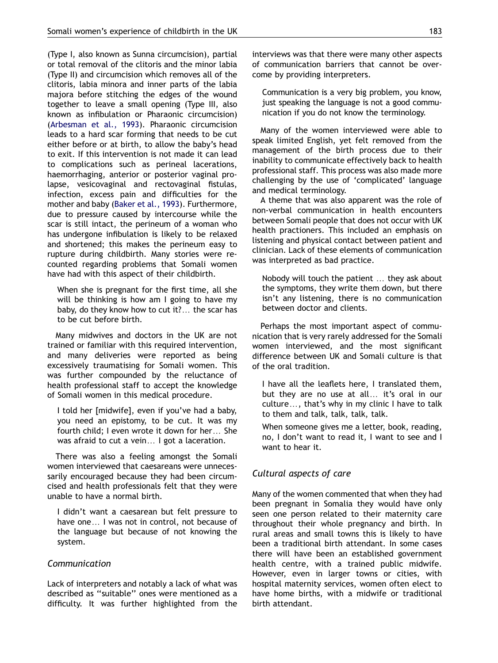(Type I, also known as Sunna circumcision), partial or total removal of the clitoris and the minor labia (Type II) and circumcision which removes all of the clitoris, labia minora and inner parts of the labia majora before stitching the edges of the wound together to leave a small opening (Type III, also known as infibulation or Pharaonic circumcision) [\(Arbesman et al., 1993\)](#page-5-0). Pharaonic circumcision leads to a hard scar forming that needs to be cut either before or at birth, to allow the baby's head to exit. If this intervention is not made it can lead to complications such as perineal lacerations, haemorrhaging, anterior or posterior vaginal prolapse, vesicovaginal and rectovaginal fistulas, infection, excess pain and difficulties for the mother and baby ([Baker et al., 1993\)](#page-5-0). Furthermore, due to pressure caused by intercourse while the scar is still intact, the perineum of a woman who has undergone infibulation is likely to be relaxed and shortened; this makes the perineum easy to rupture during childbirth. Many stories were recounted regarding problems that Somali women have had with this aspect of their childbirth.

When she is pregnant for the first time, all she will be thinking is how am I going to have my baby, do they know how to cut it? $\dots$  the scar has to be cut before birth.

Many midwives and doctors in the UK are not trained or familiar with this required intervention, and many deliveries were reported as being excessively traumatising for Somali women. This was further compounded by the reluctance of health professional staff to accept the knowledge of Somali women in this medical procedure.

I told her [midwife], even if you've had a baby, you need an epistomy, to be cut. It was my fourth child; I even wrote it down for her... She was afraid to cut a vein... I got a laceration.

There was also a feeling amongst the Somali women interviewed that caesareans were unnecessarily encouraged because they had been circumcised and health professionals felt that they were unable to have a normal birth.

I didn't want a caesarean but felt pressure to have one... I was not in control, not because of the language but because of not knowing the system.

# Communication

Lack of interpreters and notably a lack of what was described as ''suitable'' ones were mentioned as a difficulty. It was further highlighted from the interviews was that there were many other aspects of communication barriers that cannot be overcome by providing interpreters.

Communication is a very big problem, you know, just speaking the language is not a good communication if you do not know the terminology.

Many of the women interviewed were able to speak limited English, yet felt removed from the management of the birth process due to their inability to communicate effectively back to health professional staff. This process was also made more challenging by the use of 'complicated' language and medical terminology.

A theme that was also apparent was the role of non-verbal communication in health encounters between Somali people that does not occur with UK health practioners. This included an emphasis on listening and physical contact between patient and clinician. Lack of these elements of communication was interpreted as bad practice.

Nobody will touch the patient ... they ask about the symptoms, they write them down, but there isn't any listening, there is no communication between doctor and clients.

Perhaps the most important aspect of communication that is very rarely addressed for the Somali women interviewed, and the most significant difference between UK and Somali culture is that of the oral tradition.

I have all the leaflets here, I translated them, but they are no use at all... it's oral in our culture..., that's why in my clinic I have to talk to them and talk, talk, talk, talk.

When someone gives me a letter, book, reading, no, I don't want to read it, I want to see and I want to hear it.

# Cultural aspects of care

Many of the women commented that when they had been pregnant in Somalia they would have only seen one person related to their maternity care throughout their whole pregnancy and birth. In rural areas and small towns this is likely to have been a traditional birth attendant. In some cases there will have been an established government health centre, with a trained public midwife. However, even in larger towns or cities, with hospital maternity services, women often elect to have home births, with a midwife or traditional birth attendant.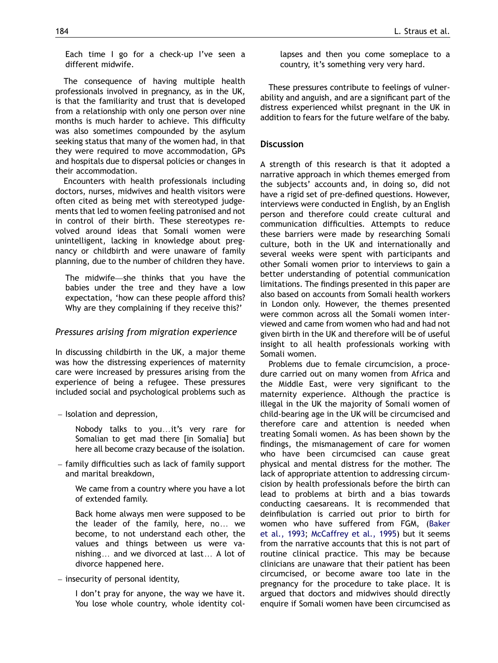Each time I go for a check-up I've seen a different midwife.

The consequence of having multiple health professionals involved in pregnancy, as in the UK, is that the familiarity and trust that is developed from a relationship with only one person over nine months is much harder to achieve. This difficulty was also sometimes compounded by the asylum seeking status that many of the women had, in that they were required to move accommodation, GPs and hospitals due to dispersal policies or changes in their accommodation.

Encounters with health professionals including doctors, nurses, midwives and health visitors were often cited as being met with stereotyped judgements that led to women feeling patronised and not in control of their birth. These stereotypes revolved around ideas that Somali women were unintelligent, lacking in knowledge about pregnancy or childbirth and were unaware of family planning, due to the number of children they have.

The midwife—she thinks that you have the babies under the tree and they have a low expectation, 'how can these people afford this? Why are they complaining if they receive this?'

### Pressures arising from migration experience

In discussing childbirth in the UK, a major theme was how the distressing experiences of maternity care were increased by pressures arising from the experience of being a refugee. These pressures included social and psychological problems such as

– Isolation and depression,

Nobody talks to you...it's very rare for Somalian to get mad there [in Somalia] but here all become crazy because of the isolation.

– family difficulties such as lack of family support and marital breakdown,

We came from a country where you have a lot of extended family.

Back home always men were supposed to be the leader of the family, here, no... we become, to not understand each other, the values and things between us were vanishing... and we divorced at last... A lot of divorce happened here.

– insecurity of personal identity,

I don't pray for anyone, the way we have it. You lose whole country, whole identity collapses and then you come someplace to a country, it's something very very hard.

These pressures contribute to feelings of vulnerability and anguish, and are a significant part of the distress experienced whilst pregnant in the UK in addition to fears for the future welfare of the baby.

## **Discussion**

A strength of this research is that it adopted a narrative approach in which themes emerged from the subjects' accounts and, in doing so, did not have a rigid set of pre-defined questions. However, interviews were conducted in English, by an English person and therefore could create cultural and communication difficulties. Attempts to reduce these barriers were made by researching Somali culture, both in the UK and internationally and several weeks were spent with participants and other Somali women prior to interviews to gain a better understanding of potential communication limitations. The findings presented in this paper are also based on accounts from Somali health workers in London only. However, the themes presented were common across all the Somali women interviewed and came from women who had and had not given birth in the UK and therefore will be of useful insight to all health professionals working with Somali women.

Problems due to female circumcision, a procedure carried out on many women from Africa and the Middle East, were very significant to the maternity experience. Although the practice is illegal in the UK the majority of Somali women of child-bearing age in the UK will be circumcised and therefore care and attention is needed when treating Somali women. As has been shown by the findings, the mismanagement of care for women who have been circumcised can cause great physical and mental distress for the mother. The lack of appropriate attention to addressing circumcision by health professionals before the birth can lead to problems at birth and a bias towards conducting caesareans. It is recommended that deinfibulation is carried out prior to birth for women who have suffered from FGM, [\(Baker](#page-5-0) [et al., 1993;](#page-5-0) [McCaffrey et al., 1995](#page-5-0)) but it seems from the narrative accounts that this is not part of routine clinical practice. This may be because clinicians are unaware that their patient has been circumcised, or become aware too late in the pregnancy for the procedure to take place. It is argued that doctors and midwives should directly enquire if Somali women have been circumcised as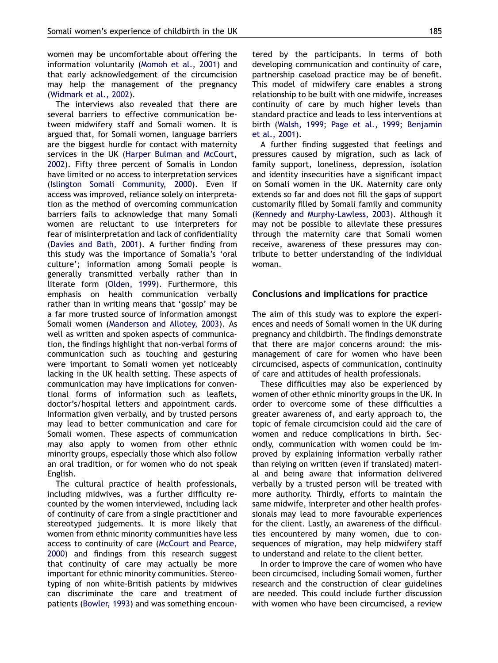women may be uncomfortable about offering the information voluntarily ([Momoh et al., 2001](#page-5-0)) and that early acknowledgement of the circumcision may help the management of the pregnancy [\(Widmark et al., 2002\)](#page-5-0).

The interviews also revealed that there are several barriers to effective communication between midwifery staff and Somali women. It is argued that, for Somali women, language barriers are the biggest hurdle for contact with maternity services in the UK [\(Harper Bulman and McCourt,](#page-5-0) [2002](#page-5-0)). Fifty three percent of Somalis in London have limited or no access to interpretation services [\(Islington Somali Community, 2000\)](#page-5-0). Even if access was improved, reliance solely on interpretation as the method of overcoming communication barriers fails to acknowledge that many Somali women are reluctant to use interpreters for fear of misinterpretation and lack of confidentiality [\(Davies and Bath, 2001](#page-5-0)). A further finding from this study was the importance of Somalia's 'oral culture'; information among Somali people is generally transmitted verbally rather than in literate form [\(Olden, 1999\)](#page-5-0). Furthermore, this emphasis on health communication verbally rather than in writing means that 'gossip' may be a far more trusted source of information amongst Somali women ([Manderson and Allotey, 2003](#page-5-0)). As well as written and spoken aspects of communication, the findings highlight that non-verbal forms of communication such as touching and gesturing were important to Somali women yet noticeably lacking in the UK health setting. These aspects of communication may have implications for conventional forms of information such as leaflets, doctor's/hospital letters and appointment cards. Information given verbally, and by trusted persons may lead to better communication and care for Somali women. These aspects of communication may also apply to women from other ethnic minority groups, especially those which also follow an oral tradition, or for women who do not speak English.

The cultural practice of health professionals, including midwives, was a further difficulty recounted by the women interviewed, including lack of continuity of care from a single practitioner and stereotyped judgements. It is more likely that women from ethnic minority communities have less access to continuity of care [\(McCourt and Pearce,](#page-5-0) [2000](#page-5-0)) and findings from this research suggest that continuity of care may actually be more important for ethnic minority communities. Stereotyping of non white-British patients by midwives can discriminate the care and treatment of patients [\(Bowler, 1993\)](#page-5-0) and was something encountered by the participants. In terms of both developing communication and continuity of care, partnership caseload practice may be of benefit. This model of midwifery care enables a strong relationship to be built with one midwife, increases continuity of care by much higher levels than standard practice and leads to less interventions at birth [\(Walsh, 1999](#page-5-0); [Page et al., 1999](#page-5-0); [Benjamin](#page-5-0) [et al., 2001\)](#page-5-0).

A further finding suggested that feelings and pressures caused by migration, such as lack of family support, loneliness, depression, isolation and identity insecurities have a significant impact on Somali women in the UK. Maternity care only extends so far and does not fill the gaps of support customarily filled by Somali family and community [\(Kennedy and Murphy-Lawless, 2003\)](#page-5-0). Although it may not be possible to alleviate these pressures through the maternity care that Somali women receive, awareness of these pressures may contribute to better understanding of the individual woman.

### Conclusions and implications for practice

The aim of this study was to explore the experiences and needs of Somali women in the UK during pregnancy and childbirth. The findings demonstrate that there are major concerns around: the mismanagement of care for women who have been circumcised, aspects of communication, continuity of care and attitudes of health professionals.

These difficulties may also be experienced by women of other ethnic minority groups in the UK. In order to overcome some of these difficulties a greater awareness of, and early approach to, the topic of female circumcision could aid the care of women and reduce complications in birth. Secondly, communication with women could be improved by explaining information verbally rather than relying on written (even if translated) material and being aware that information delivered verbally by a trusted person will be treated with more authority. Thirdly, efforts to maintain the same midwife, interpreter and other health professionals may lead to more favourable experiences for the client. Lastly, an awareness of the difficulties encountered by many women, due to consequences of migration, may help midwifery staff to understand and relate to the client better.

In order to improve the care of women who have been circumcised, including Somali women, further research and the construction of clear guidelines are needed. This could include further discussion with women who have been circumcised, a review